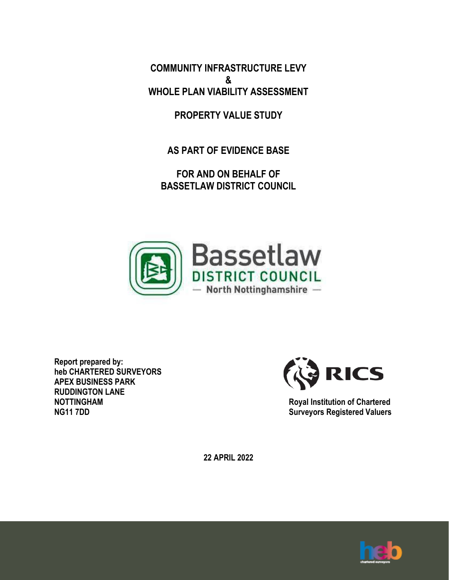**COMMUNITY INFRASTRUCTURE LEVY & WHOLE PLAN VIABILITY ASSESSMENT**

**PROPERTY VALUE STUDY**

**AS PART OF EVIDENCE BASE**

**FOR AND ON BEHALF OF BASSETLAW DISTRICT COUNCIL**



**Report prepared by: heb CHARTERED SURVEYORS APEX BUSINESS PARK RUDDINGTON LANE NOTTINGHAM NG11 7DD**



**Royal Institution of Chartered Surveyors Registered Valuers**

**22 APRIL 2022**

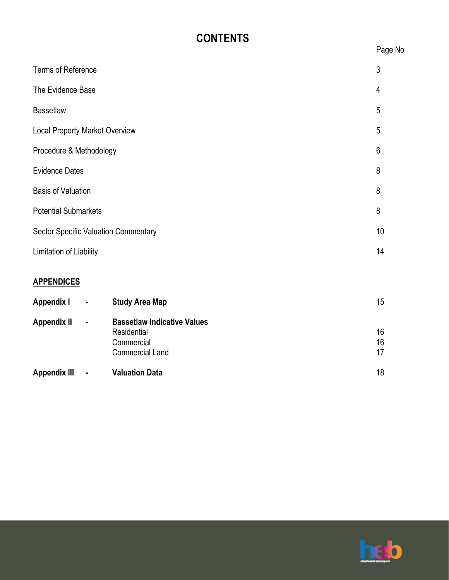# **CONTENTS**

| <b>Terms of Reference</b>                   | 3  |
|---------------------------------------------|----|
| The Evidence Base                           | 4  |
| <b>Bassetlaw</b>                            | 5  |
| <b>Local Property Market Overview</b>       | 5  |
| Procedure & Methodology                     | 6  |
| <b>Evidence Dates</b>                       | 8  |
| <b>Basis of Valuation</b>                   | 8  |
| <b>Potential Submarkets</b>                 | 8  |
| <b>Sector Specific Valuation Commentary</b> | 10 |
| Limitation of Liability                     | 14 |
| <b>APPENDICES</b>                           |    |

| Appendix I   | $\blacksquare$ | <b>Study Area Map</b>              | 15 |
|--------------|----------------|------------------------------------|----|
| Appendix II  | $\blacksquare$ | <b>Bassetlaw Indicative Values</b> |    |
|              |                | Residential                        | 16 |
|              |                | Commercial                         | 16 |
|              |                | <b>Commercial Land</b>             | 17 |
| Appendix III | $\blacksquare$ | <b>Valuation Data</b>              | 18 |
|              |                |                                    |    |



Page No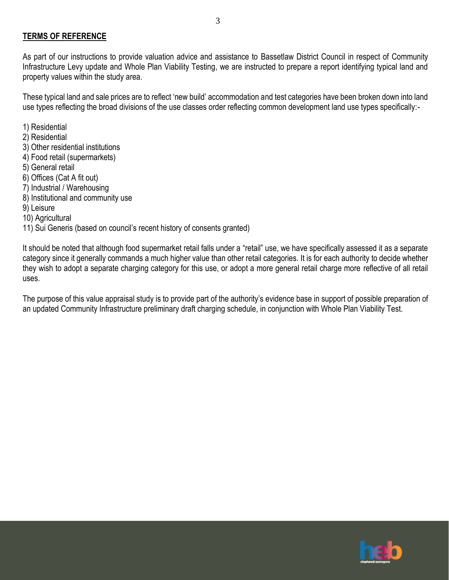#### **TERMS OF REFERENCE**

As part of our instructions to provide valuation advice and assistance to Bassetlaw District Council in respect of Community Infrastructure Levy update and Whole Plan Viability Testing, we are instructed to prepare a report identifying typical land and property values within the study area.

These typical land and sale prices are to reflect 'new build' accommodation and test categories have been broken down into land use types reflecting the broad divisions of the use classes order reflecting common development land use types specifically:-

- 1) Residential
- 2) Residential
- 3) Other residential institutions
- 4) Food retail (supermarkets)
- 5) General retail
- 6) Offices (Cat A fit out)
- 7) Industrial / Warehousing
- 8) Institutional and community use
- 9) Leisure
- 10) Agricultural

11) Sui Generis (based on council's recent history of consents granted)

It should be noted that although food supermarket retail falls under a "retail" use, we have specifically assessed it as a separate category since it generally commands a much higher value than other retail categories. It is for each authority to decide whether they wish to adopt a separate charging category for this use, or adopt a more general retail charge more reflective of all retail uses.

The purpose of this value appraisal study is to provide part of the authority's evidence base in support of possible preparation of an updated Community Infrastructure preliminary draft charging schedule, in conjunction with Whole Plan Viability Test.

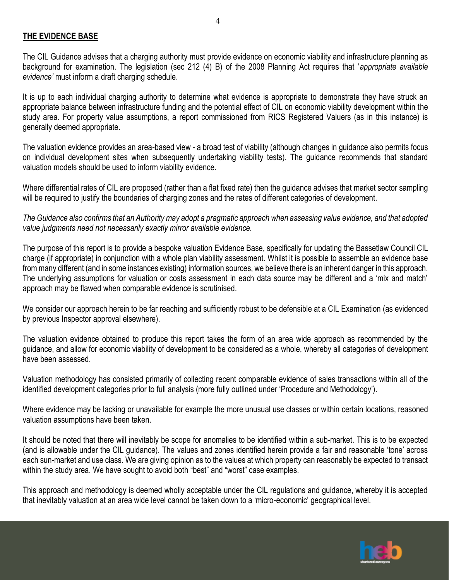#### **THE EVIDENCE BASE**

The CIL Guidance advises that a charging authority must provide evidence on economic viability and infrastructure planning as background for examination. The legislation (sec 212 (4) B) of the 2008 Planning Act requires that '*appropriate available evidence'* must inform a draft charging schedule.

4

It is up to each individual charging authority to determine what evidence is appropriate to demonstrate they have struck an appropriate balance between infrastructure funding and the potential effect of CIL on economic viability development within the study area. For property value assumptions, a report commissioned from RICS Registered Valuers (as in this instance) is generally deemed appropriate.

The valuation evidence provides an area-based view - a broad test of viability (although changes in guidance also permits focus on individual development sites when subsequently undertaking viability tests). The guidance recommends that standard valuation models should be used to inform viability evidence.

Where differential rates of CIL are proposed (rather than a flat fixed rate) then the guidance advises that market sector sampling will be required to justify the boundaries of charging zones and the rates of different categories of development.

*The Guidance also confirms that an Authority may adopt a pragmatic approach when assessing value evidence, and that adopted value judgments need not necessarily exactly mirror available evidence.*

The purpose of this report is to provide a bespoke valuation Evidence Base, specifically for updating the Bassetlaw Council CIL charge (if appropriate) in conjunction with a whole plan viability assessment. Whilst it is possible to assemble an evidence base from many different (and in some instances existing) information sources, we believe there is an inherent danger in this approach. The underlying assumptions for valuation or costs assessment in each data source may be different and a 'mix and match' approach may be flawed when comparable evidence is scrutinised.

We consider our approach herein to be far reaching and sufficiently robust to be defensible at a CIL Examination (as evidenced by previous Inspector approval elsewhere).

The valuation evidence obtained to produce this report takes the form of an area wide approach as recommended by the guidance, and allow for economic viability of development to be considered as a whole, whereby all categories of development have been assessed.

Valuation methodology has consisted primarily of collecting recent comparable evidence of sales transactions within all of the identified development categories prior to full analysis (more fully outlined under 'Procedure and Methodology').

Where evidence may be lacking or unavailable for example the more unusual use classes or within certain locations, reasoned valuation assumptions have been taken.

It should be noted that there will inevitably be scope for anomalies to be identified within a sub-market. This is to be expected (and is allowable under the CIL guidance). The values and zones identified herein provide a fair and reasonable 'tone' across each sun-market and use class. We are giving opinion as to the values at which property can reasonably be expected to transact within the study area. We have sought to avoid both "best" and "worst" case examples.

This approach and methodology is deemed wholly acceptable under the CIL regulations and guidance, whereby it is accepted that inevitably valuation at an area wide level cannot be taken down to a 'micro-economic' geographical level.

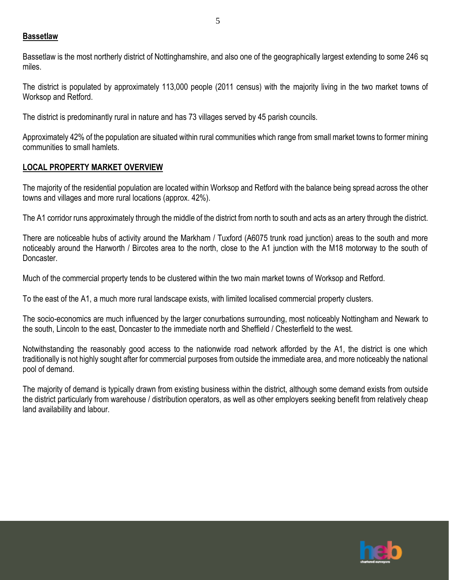#### **Bassetlaw**

Bassetlaw is the most northerly district of Nottinghamshire, and also one of the geographically largest extending to some 246 sq miles.

The district is populated by approximately 113,000 people (2011 census) with the majority living in the two market towns of Worksop and Retford.

The district is predominantly rural in nature and has 73 villages served by 45 parish councils.

Approximately 42% of the population are situated within rural communities which range from small market towns to former mining communities to small hamlets.

### **LOCAL PROPERTY MARKET OVERVIEW**

The majority of the residential population are located within Worksop and Retford with the balance being spread across the other towns and villages and more rural locations (approx. 42%).

The A1 corridor runs approximately through the middle of the district from north to south and acts as an artery through the district.

There are noticeable hubs of activity around the Markham / Tuxford (A6075 trunk road junction) areas to the south and more noticeably around the Harworth / Bircotes area to the north, close to the A1 junction with the M18 motorway to the south of Doncaster.

Much of the commercial property tends to be clustered within the two main market towns of Worksop and Retford.

To the east of the A1, a much more rural landscape exists, with limited localised commercial property clusters.

The socio-economics are much influenced by the larger conurbations surrounding, most noticeably Nottingham and Newark to the south, Lincoln to the east, Doncaster to the immediate north and Sheffield / Chesterfield to the west.

Notwithstanding the reasonably good access to the nationwide road network afforded by the A1, the district is one which traditionally is not highly sought after for commercial purposes from outside the immediate area, and more noticeably the national pool of demand.

The majority of demand is typically drawn from existing business within the district, although some demand exists from outside the district particularly from warehouse / distribution operators, as well as other employers seeking benefit from relatively cheap land availability and labour.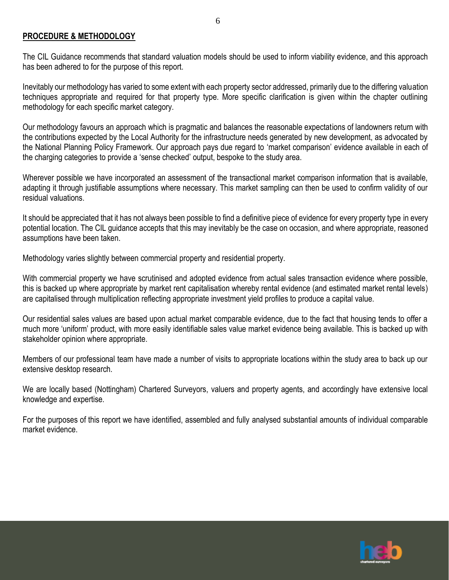#### **PROCEDURE & METHODOLOGY**

The CIL Guidance recommends that standard valuation models should be used to inform viability evidence, and this approach has been adhered to for the purpose of this report.

6

Inevitably our methodology has varied to some extent with each property sector addressed, primarily due to the differing valuation techniques appropriate and required for that property type. More specific clarification is given within the chapter outlining methodology for each specific market category.

Our methodology favours an approach which is pragmatic and balances the reasonable expectations of landowners return with the contributions expected by the Local Authority for the infrastructure needs generated by new development, as advocated by the National Planning Policy Framework. Our approach pays due regard to 'market comparison' evidence available in each of the charging categories to provide a 'sense checked' output, bespoke to the study area.

Wherever possible we have incorporated an assessment of the transactional market comparison information that is available, adapting it through justifiable assumptions where necessary. This market sampling can then be used to confirm validity of our residual valuations.

It should be appreciated that it has not always been possible to find a definitive piece of evidence for every property type in every potential location. The CIL guidance accepts that this may inevitably be the case on occasion, and where appropriate, reasoned assumptions have been taken.

Methodology varies slightly between commercial property and residential property.

With commercial property we have scrutinised and adopted evidence from actual sales transaction evidence where possible, this is backed up where appropriate by market rent capitalisation whereby rental evidence (and estimated market rental levels) are capitalised through multiplication reflecting appropriate investment yield profiles to produce a capital value.

Our residential sales values are based upon actual market comparable evidence, due to the fact that housing tends to offer a much more 'uniform' product, with more easily identifiable sales value market evidence being available. This is backed up with stakeholder opinion where appropriate.

Members of our professional team have made a number of visits to appropriate locations within the study area to back up our extensive desktop research.

We are locally based (Nottingham) Chartered Surveyors, valuers and property agents, and accordingly have extensive local knowledge and expertise.

For the purposes of this report we have identified, assembled and fully analysed substantial amounts of individual comparable market evidence.

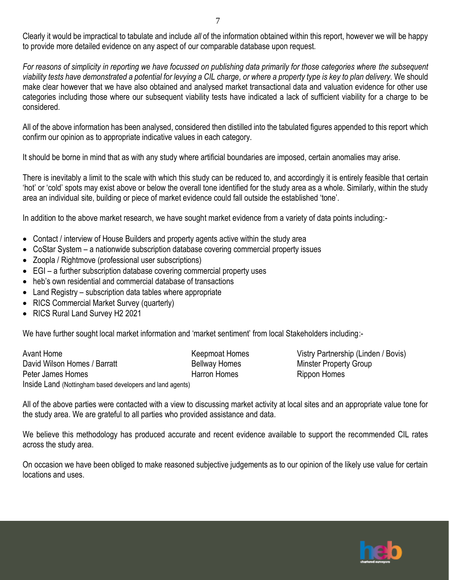Clearly it would be impractical to tabulate and include *all* of the information obtained within this report, however we will be happy to provide more detailed evidence on any aspect of our comparable database upon request.

For reasons of simplicity in reporting we have focussed on publishing data primarily for those categories where the subsequent *viability tests have demonstrated a potential for levying a CIL charge, or where a property type is key to plan delivery.* We should make clear however that we have also obtained and analysed market transactional data and valuation evidence for other use categories including those where our subsequent viability tests have indicated a lack of sufficient viability for a charge to be considered.

All of the above information has been analysed, considered then distilled into the tabulated figures appended to this report which confirm our opinion as to appropriate indicative values in each category.

It should be borne in mind that as with any study where artificial boundaries are imposed, certain anomalies may arise.

There is inevitably a limit to the scale with which this study can be reduced to, and accordingly it is entirely feasible that certain 'hot' or 'cold' spots may exist above or below the overall tone identified for the study area as a whole. Similarly, within the study area an individual site, building or piece of market evidence could fall outside the established 'tone'.

In addition to the above market research, we have sought market evidence from a variety of data points including:-

- Contact / interview of House Builders and property agents active within the study area
- CoStar System a nationwide subscription database covering commercial property issues
- Zoopla / Rightmove (professional user subscriptions)
- EGI a further subscription database covering commercial property uses
- heb's own residential and commercial database of transactions
- Land Registry subscription data tables where appropriate
- RICS Commercial Market Survey (quarterly)
- RICS Rural Land Survey H2 2021

We have further sought local market information and 'market sentiment' from local Stakeholders including:-

Avant Home **Keepmoat Homes** Vistry Partnership (Linden / Bovis) **Keepmoat Homes** Vistry Partnership (Linden / Bovis) David Wilson Homes / Barratt **Bellway Homes** Minster Property Group<br>Peter James Homes Momes Homes Harron Homes Rinnon Homes Peter James Homes **Harron Homes** Harron Homes Rippon Homes Inside Land (Nottingham based developers and land agents)

All of the above parties were contacted with a view to discussing market activity at local sites and an appropriate value tone for the study area. We are grateful to all parties who provided assistance and data.

We believe this methodology has produced accurate and recent evidence available to support the recommended CIL rates across the study area.

On occasion we have been obliged to make reasoned subjective judgements as to our opinion of the likely use value for certain locations and uses.

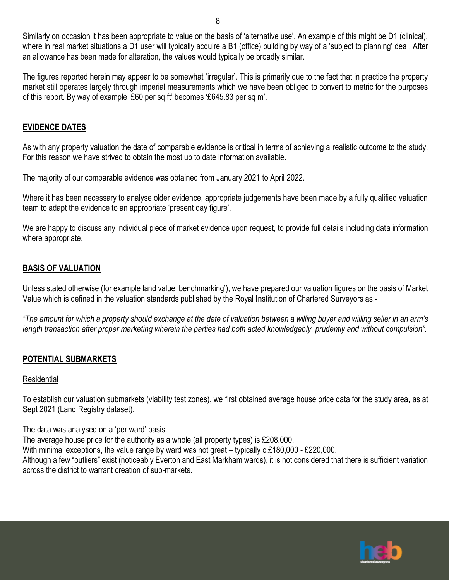Similarly on occasion it has been appropriate to value on the basis of 'alternative use'. An example of this might be D1 (clinical), where in real market situations a D1 user will typically acquire a B1 (office) building by way of a 'subject to planning' deal. After an allowance has been made for alteration, the values would typically be broadly similar.

The figures reported herein may appear to be somewhat 'irregular'. This is primarily due to the fact that in practice the property market still operates largely through imperial measurements which we have been obliged to convert to metric for the purposes of this report. By way of example '£60 per sq ft' becomes '£645.83 per sq m'.

#### **EVIDENCE DATES**

As with any property valuation the date of comparable evidence is critical in terms of achieving a realistic outcome to the study. For this reason we have strived to obtain the most up to date information available.

The majority of our comparable evidence was obtained from January 2021 to April 2022.

Where it has been necessary to analyse older evidence, appropriate judgements have been made by a fully qualified valuation team to adapt the evidence to an appropriate 'present day figure'.

We are happy to discuss any individual piece of market evidence upon request, to provide full details including data information where appropriate.

#### **BASIS OF VALUATION**

Unless stated otherwise (for example land value 'benchmarking'), we have prepared our valuation figures on the basis of Market Value which is defined in the valuation standards published by the Royal Institution of Chartered Surveyors as:-

*"The amount for which a property should exchange at the date of valuation between a willing buyer and willing seller in an arm's length transaction after proper marketing wherein the parties had both acted knowledgably, prudently and without compulsion".*

### **POTENTIAL SUBMARKETS**

#### Residential

To establish our valuation submarkets (viability test zones), we first obtained average house price data for the study area, as at Sept 2021 (Land Registry dataset).

The data was analysed on a 'per ward' basis.

The average house price for the authority as a whole (all property types) is £208,000.

With minimal exceptions, the value range by ward was not great – typically c.£180,000 - £220,000.

Although a few "outliers" exist (noticeably Everton and East Markham wards), it is not considered that there is sufficient variation across the district to warrant creation of sub-markets.

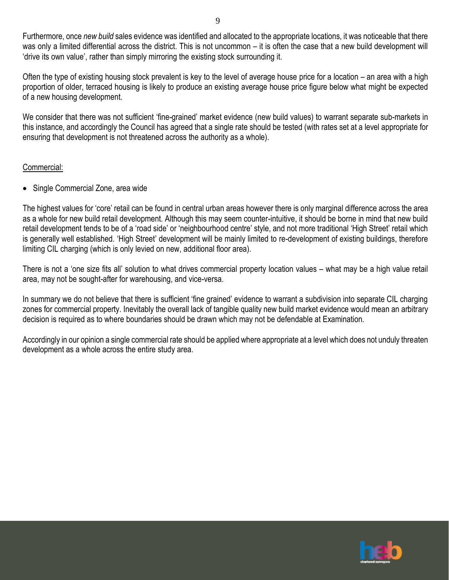Furthermore, once *new build* sales evidence was identified and allocated to the appropriate locations, it was noticeable that there was only a limited differential across the district. This is not uncommon – it is often the case that a new build development will 'drive its own value', rather than simply mirroring the existing stock surrounding it.

Often the type of existing housing stock prevalent is key to the level of average house price for a location – an area with a high proportion of older, terraced housing is likely to produce an existing average house price figure below what might be expected of a new housing development.

We consider that there was not sufficient 'fine-grained' market evidence (new build values) to warrant separate sub-markets in this instance, and accordingly the Council has agreed that a single rate should be tested (with rates set at a level appropriate for ensuring that development is not threatened across the authority as a whole).

### Commercial:

• Single Commercial Zone, area wide

The highest values for 'core' retail can be found in central urban areas however there is only marginal difference across the area as a whole for new build retail development. Although this may seem counter-intuitive, it should be borne in mind that new build retail development tends to be of a 'road side' or 'neighbourhood centre' style, and not more traditional 'High Street' retail which is generally well established. 'High Street' development will be mainly limited to re-development of existing buildings, therefore limiting CIL charging (which is only levied on new, additional floor area).

There is not a 'one size fits all' solution to what drives commercial property location values – what may be a high value retail area, may not be sought-after for warehousing, and vice-versa.

In summary we do not believe that there is sufficient 'fine grained' evidence to warrant a subdivision into separate CIL charging zones for commercial property. Inevitably the overall lack of tangible quality new build market evidence would mean an arbitrary decision is required as to where boundaries should be drawn which may not be defendable at Examination.

Accordingly in our opinion a single commercial rate should be applied where appropriate at a level which does not unduly threaten development as a whole across the entire study area.

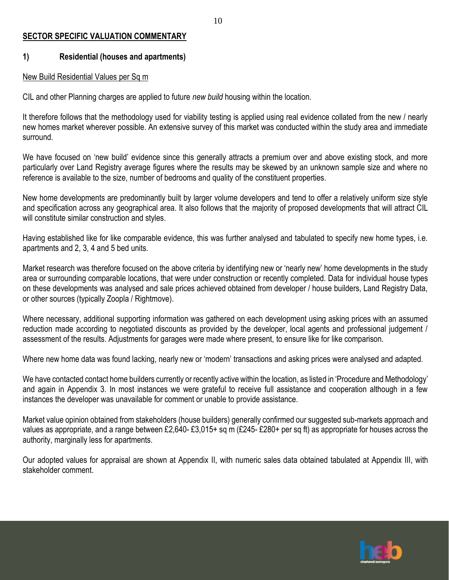#### **SECTOR SPECIFIC VALUATION COMMENTARY**

#### **1) Residential (houses and apartments)**

#### New Build Residential Values per Sq m

CIL and other Planning charges are applied to future *new build* housing within the location.

It therefore follows that the methodology used for viability testing is applied using real evidence collated from the new / nearly new homes market wherever possible. An extensive survey of this market was conducted within the study area and immediate surround.

We have focused on 'new build' evidence since this generally attracts a premium over and above existing stock, and more particularly over Land Registry average figures where the results may be skewed by an unknown sample size and where no reference is available to the size, number of bedrooms and quality of the constituent properties.

New home developments are predominantly built by larger volume developers and tend to offer a relatively uniform size style and specification across any geographical area. It also follows that the majority of proposed developments that will attract CIL will constitute similar construction and styles.

Having established like for like comparable evidence, this was further analysed and tabulated to specify new home types, i.e. apartments and 2, 3, 4 and 5 bed units.

Market research was therefore focused on the above criteria by identifying new or 'nearly new' home developments in the study area or surrounding comparable locations, that were under construction or recently completed. Data for individual house types on these developments was analysed and sale prices achieved obtained from developer / house builders, Land Registry Data, or other sources (typically Zoopla / Rightmove).

Where necessary, additional supporting information was gathered on each development using asking prices with an assumed reduction made according to negotiated discounts as provided by the developer, local agents and professional judgement / assessment of the results. Adjustments for garages were made where present, to ensure like for like comparison.

Where new home data was found lacking, nearly new or 'modern' transactions and asking prices were analysed and adapted.

We have contacted contact home builders currently or recently active within the location, as listed in 'Procedure and Methodology' and again in Appendix 3. In most instances we were grateful to receive full assistance and cooperation although in a few instances the developer was unavailable for comment or unable to provide assistance.

Market value opinion obtained from stakeholders (house builders) generally confirmed our suggested sub-markets approach and values as appropriate, and a range between £2,640- £3,015+ sq m (£245- £280+ per sq ft) as appropriate for houses across the authority, marginally less for apartments.

Our adopted values for appraisal are shown at Appendix II, with numeric sales data obtained tabulated at Appendix III, with stakeholder comment.

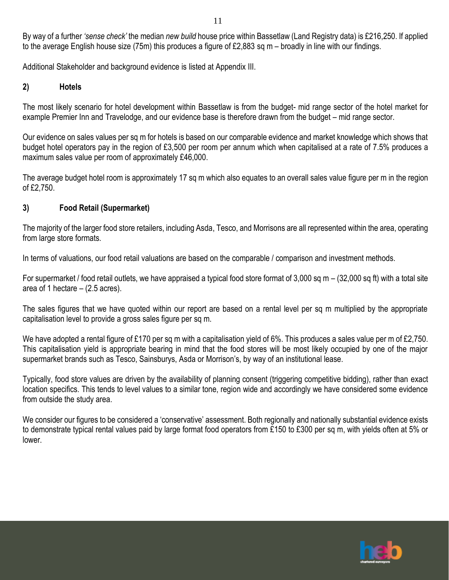By way of a further *'sense check'* the median *new build* house price within Bassetlaw (Land Registry data) is £216,250. If applied to the average English house size (75m) this produces a figure of £2,883 sq m – broadly in line with our findings.

11

Additional Stakeholder and background evidence is listed at Appendix III.

### **2) Hotels**

The most likely scenario for hotel development within Bassetlaw is from the budget- mid range sector of the hotel market for example Premier Inn and Travelodge, and our evidence base is therefore drawn from the budget – mid range sector.

Our evidence on sales values per sq m for hotels is based on our comparable evidence and market knowledge which shows that budget hotel operators pay in the region of £3,500 per room per annum which when capitalised at a rate of 7.5% produces a maximum sales value per room of approximately £46,000.

The average budget hotel room is approximately 17 sq m which also equates to an overall sales value figure per m in the region of £2,750.

### **3) Food Retail (Supermarket)**

The majority of the larger food store retailers, including Asda, Tesco, and Morrisons are all represented within the area, operating from large store formats.

In terms of valuations, our food retail valuations are based on the comparable / comparison and investment methods.

For supermarket / food retail outlets, we have appraised a typical food store format of 3,000 sq m – (32,000 sq ft) with a total site area of 1 hectare  $-$  (2.5 acres).

The sales figures that we have quoted within our report are based on a rental level per sq m multiplied by the appropriate capitalisation level to provide a gross sales figure per sq m.

We have adopted a rental figure of £170 per sq m with a capitalisation yield of 6%. This produces a sales value per m of £2,750. This capitalisation yield is appropriate bearing in mind that the food stores will be most likely occupied by one of the major supermarket brands such as Tesco, Sainsburys, Asda or Morrison's, by way of an institutional lease.

Typically, food store values are driven by the availability of planning consent (triggering competitive bidding), rather than exact location specifics. This tends to level values to a similar tone, region wide and accordingly we have considered some evidence from outside the study area.

We consider our figures to be considered a 'conservative' assessment. Both regionally and nationally substantial evidence exists to demonstrate typical rental values paid by large format food operators from £150 to £300 per sq m, with yields often at 5% or lower.

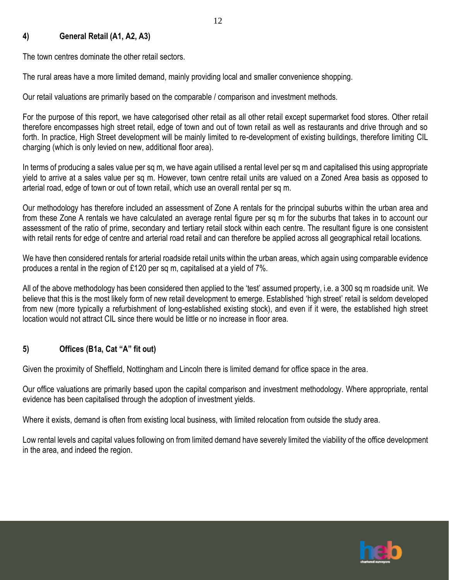#### **4) General Retail (A1, A2, A3)**

The town centres dominate the other retail sectors.

The rural areas have a more limited demand, mainly providing local and smaller convenience shopping.

Our retail valuations are primarily based on the comparable / comparison and investment methods.

For the purpose of this report, we have categorised other retail as all other retail except supermarket food stores. Other retail therefore encompasses high street retail, edge of town and out of town retail as well as restaurants and drive through and so forth. In practice, High Street development will be mainly limited to re-development of existing buildings, therefore limiting CIL charging (which is only levied on new, additional floor area).

In terms of producing a sales value per sq m, we have again utilised a rental level per sq m and capitalised this using appropriate yield to arrive at a sales value per sq m. However, town centre retail units are valued on a Zoned Area basis as opposed to arterial road, edge of town or out of town retail, which use an overall rental per sq m.

Our methodology has therefore included an assessment of Zone A rentals for the principal suburbs within the urban area and from these Zone A rentals we have calculated an average rental figure per sq m for the suburbs that takes in to account our assessment of the ratio of prime, secondary and tertiary retail stock within each centre. The resultant figure is one consistent with retail rents for edge of centre and arterial road retail and can therefore be applied across all geographical retail locations.

We have then considered rentals for arterial roadside retail units within the urban areas, which again using comparable evidence produces a rental in the region of £120 per sq m, capitalised at a yield of 7%.

All of the above methodology has been considered then applied to the 'test' assumed property, i.e. a 300 sq m roadside unit. We believe that this is the most likely form of new retail development to emerge. Established 'high street' retail is seldom developed from new (more typically a refurbishment of long-established existing stock), and even if it were, the established high street location would not attract CIL since there would be little or no increase in floor area.

### **5) Offices (B1a, Cat "A" fit out)**

Given the proximity of Sheffield, Nottingham and Lincoln there is limited demand for office space in the area.

Our office valuations are primarily based upon the capital comparison and investment methodology. Where appropriate, rental evidence has been capitalised through the adoption of investment yields.

Where it exists, demand is often from existing local business, with limited relocation from outside the study area.

Low rental levels and capital values following on from limited demand have severely limited the viability of the office development in the area, and indeed the region.

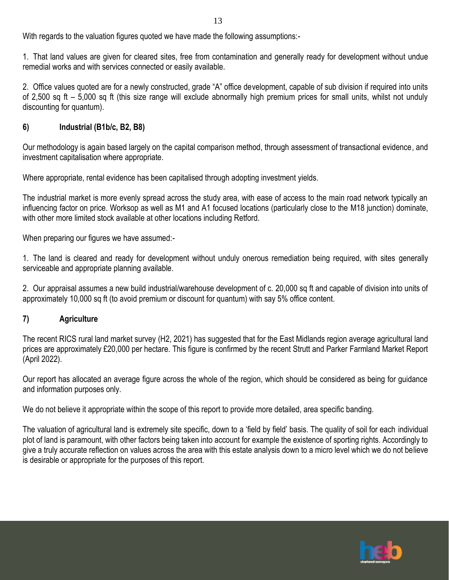With regards to the valuation figures quoted we have made the following assumptions:-

1. That land values are given for cleared sites, free from contamination and generally ready for development without undue remedial works and with services connected or easily available.

2. Office values quoted are for a newly constructed, grade "A" office development, capable of sub division if required into units of 2,500 sq ft – 5,000 sq ft (this size range will exclude abnormally high premium prices for small units, whilst not unduly discounting for quantum).

### **6) Industrial (B1b/c, B2, B8)**

Our methodology is again based largely on the capital comparison method, through assessment of transactional evidence, and investment capitalisation where appropriate.

Where appropriate, rental evidence has been capitalised through adopting investment yields.

The industrial market is more evenly spread across the study area, with ease of access to the main road network typically an influencing factor on price. Worksop as well as M1 and A1 focused locations (particularly close to the M18 junction) dominate, with other more limited stock available at other locations including Retford.

When preparing our figures we have assumed:-

1. The land is cleared and ready for development without unduly onerous remediation being required, with sites generally serviceable and appropriate planning available.

2. Our appraisal assumes a new build industrial/warehouse development of c. 20,000 sq ft and capable of division into units of approximately 10,000 sq ft (to avoid premium or discount for quantum) with say 5% office content.

#### **7) Agriculture**

The recent RICS rural land market survey (H2, 2021) has suggested that for the East Midlands region average agricultural land prices are approximately £20,000 per hectare. This figure is confirmed by the recent Strutt and Parker Farmland Market Report (April 2022).

Our report has allocated an average figure across the whole of the region, which should be considered as being for guidance and information purposes only.

We do not believe it appropriate within the scope of this report to provide more detailed, area specific banding.

The valuation of agricultural land is extremely site specific, down to a 'field by field' basis. The quality of soil for each individual plot of land is paramount, with other factors being taken into account for example the existence of sporting rights. Accordingly to give a truly accurate reflection on values across the area with this estate analysis down to a micro level which we do not believe is desirable or appropriate for the purposes of this report.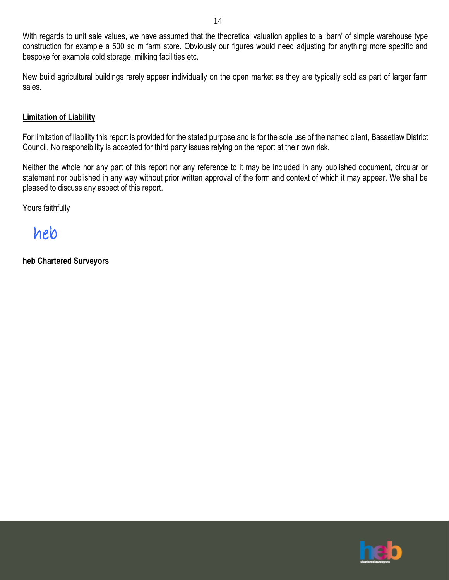With regards to unit sale values, we have assumed that the theoretical valuation applies to a 'barn' of simple warehouse type construction for example a 500 sq m farm store. Obviously our figures would need adjusting for anything more specific and bespoke for example cold storage, milking facilities etc.

14

New build agricultural buildings rarely appear individually on the open market as they are typically sold as part of larger farm sales.

#### **Limitation of Liability**

For limitation of liability this report is provided for the stated purpose and is for the sole use of the named client, Bassetlaw District Council. No responsibility is accepted for third party issues relying on the report at their own risk.

Neither the whole nor any part of this report nor any reference to it may be included in any published document, circular or statement nor published in any way without prior written approval of the form and context of which it may appear. We shall be pleased to discuss any aspect of this report.

Yours faithfully

heb

**heb Chartered Surveyors**

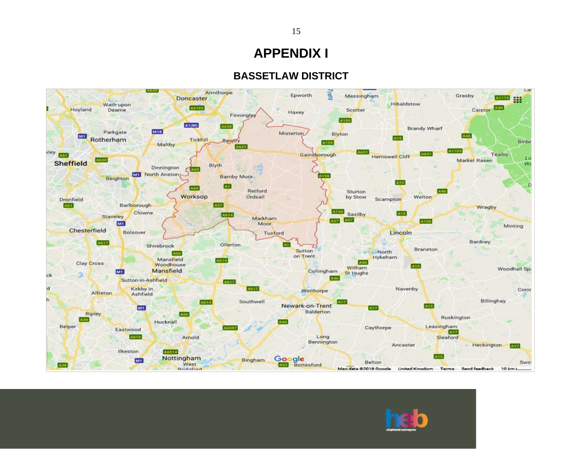# **APPENDIX I**

### **BASSETLAW DISTRICT**



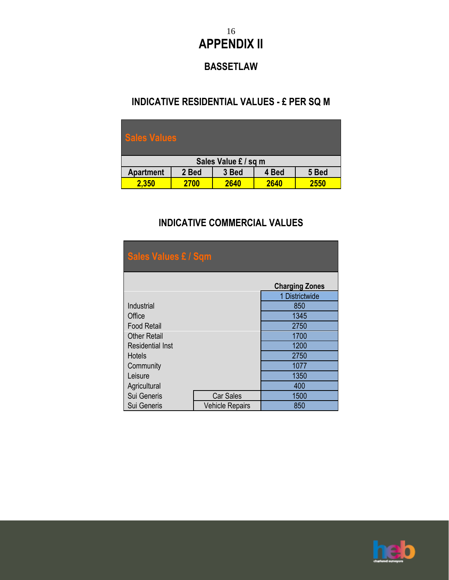## 16 **APPENDIX II**

## **BASSETLAW**

### **INDICATIVE RESIDENTIAL VALUES - £ PER SQ M**

| <b>Sales Values</b>  |       |       |       |       |  |  |
|----------------------|-------|-------|-------|-------|--|--|
| Sales Value £ / sq m |       |       |       |       |  |  |
| <b>Apartment</b>     | 2 Bed | 3 Bed | 4 Bed | 5 Bed |  |  |
| 2,350                | 2700  | 2640  | 2640  | 2550  |  |  |

## **INDICATIVE COMMERCIAL VALUES**

| <b>Sales Values £ / Sqm</b> |                        |                       |  |  |  |  |  |
|-----------------------------|------------------------|-----------------------|--|--|--|--|--|
|                             |                        | <b>Charging Zones</b> |  |  |  |  |  |
|                             |                        | 1 Districtwide        |  |  |  |  |  |
| Industrial                  |                        | 850                   |  |  |  |  |  |
| Office                      | 1345                   |                       |  |  |  |  |  |
| <b>Food Retail</b>          | 2750                   |                       |  |  |  |  |  |
| <b>Other Retail</b>         | 1700                   |                       |  |  |  |  |  |
| <b>Residential Inst</b>     |                        | 1200                  |  |  |  |  |  |
| Hotels                      |                        | 2750                  |  |  |  |  |  |
| Community                   |                        | 1077                  |  |  |  |  |  |
| Leisure                     |                        | 1350                  |  |  |  |  |  |
| Agricultural                | 400                    |                       |  |  |  |  |  |
| Sui Generis                 | <b>Car Sales</b>       | 1500                  |  |  |  |  |  |
| Sui Generis                 | <b>Vehicle Repairs</b> | 850                   |  |  |  |  |  |

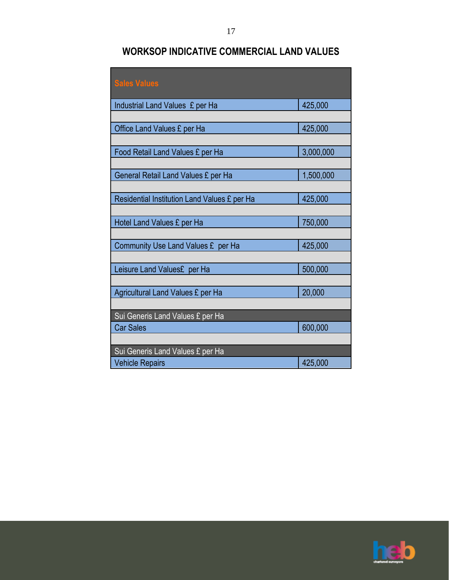## **WORKSOP INDICATIVE COMMERCIAL LAND VALUES**

| <b>Sales Values</b>                          |           |
|----------------------------------------------|-----------|
| Industrial Land Values £ per Ha              | 425,000   |
|                                              |           |
| Office Land Values £ per Ha                  | 425,000   |
|                                              |           |
| Food Retail Land Values £ per Ha             | 3,000,000 |
|                                              |           |
| General Retail Land Values £ per Ha          | 1,500,000 |
|                                              |           |
| Residential Institution Land Values £ per Ha | 425,000   |
|                                              |           |
| Hotel Land Values £ per Ha                   | 750,000   |
|                                              | 425,000   |
| Community Use Land Values £ per Ha           |           |
| Leisure Land Values£ per Ha                  | 500,000   |
|                                              |           |
| Agricultural Land Values £ per Ha            | 20,000    |
|                                              |           |
| Sui Generis Land Values £ per Ha             |           |
| <b>Car Sales</b>                             | 600,000   |
|                                              |           |
| Sui Generis Land Values £ per Ha             |           |
| <b>Vehicle Repairs</b>                       | 425,000   |

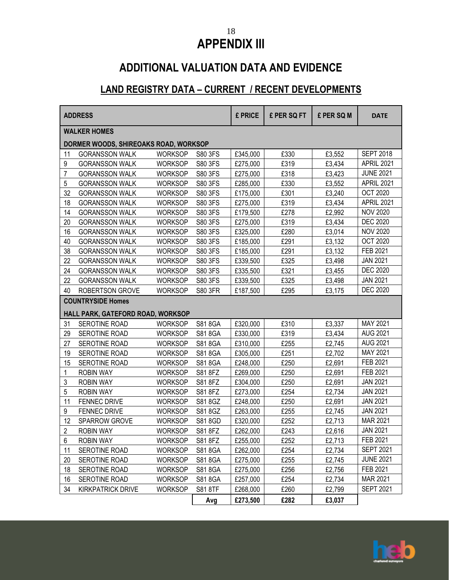## **APPENDIX III**

# **ADDITIONAL VALUATION DATA AND EVIDENCE**

## **LAND REGISTRY DATA – CURRENT / RECENT DEVELOPMENTS**

| <b>ADDRESS</b> |                                       |                |                | £ PRICE  | £ PER SQ FT | £ PER SQ M | <b>DATE</b>      |
|----------------|---------------------------------------|----------------|----------------|----------|-------------|------------|------------------|
|                | <b>WALKER HOMES</b>                   |                |                |          |             |            |                  |
|                | DORMER WOODS, SHIREOAKS ROAD, WORKSOP |                |                |          |             |            |                  |
| 11             | <b>GORANSSON WALK</b>                 | <b>WORKSOP</b> | S80 3FS        | £345,000 | £330        | £3,552     | <b>SEPT 2018</b> |
| 9              | <b>GORANSSON WALK</b>                 | <b>WORKSOP</b> | S80 3FS        | £275,000 | £319        | £3,434     | APRIL 2021       |
| $\overline{7}$ | <b>GORANSSON WALK</b>                 | <b>WORKSOP</b> | S80 3FS        | £275,000 | £318        | £3,423     | <b>JUNE 2021</b> |
| 5              | <b>GORANSSON WALK</b>                 | <b>WORKSOP</b> | S80 3FS        | £285,000 | £330        | £3,552     | APRIL 2021       |
| 32             | <b>GORANSSON WALK</b>                 | <b>WORKSOP</b> | S80 3FS        | £175,000 | £301        | £3,240     | <b>OCT 2020</b>  |
| 18             | <b>GORANSSON WALK</b>                 | <b>WORKSOP</b> | S80 3FS        | £275,000 | £319        | £3,434     | APRIL 2021       |
| 14             | <b>GORANSSON WALK</b>                 | <b>WORKSOP</b> | S80 3FS        | £179,500 | £278        | £2,992     | <b>NOV 2020</b>  |
| 20             | <b>GORANSSON WALK</b>                 | <b>WORKSOP</b> | S80 3FS        | £275,000 | £319        | £3,434     | <b>DEC 2020</b>  |
| 16             | <b>GORANSSON WALK</b>                 | <b>WORKSOP</b> | S80 3FS        | £325,000 | £280        | £3,014     | <b>NOV 2020</b>  |
| 40             | <b>GORANSSON WALK</b>                 | <b>WORKSOP</b> | S80 3FS        | £185,000 | £291        | £3,132     | <b>OCT 2020</b>  |
| 38             | <b>GORANSSON WALK</b>                 | <b>WORKSOP</b> | S80 3FS        | £185,000 | £291        | £3,132     | FEB 2021         |
| 22             | <b>GORANSSON WALK</b>                 | <b>WORKSOP</b> | S80 3FS        | £339,500 | £325        | £3,498     | <b>JAN 2021</b>  |
| 24             | <b>GORANSSON WALK</b>                 | <b>WORKSOP</b> | S80 3FS        | £335,500 | £321        | £3,455     | <b>DEC 2020</b>  |
| 22             | <b>GORANSSON WALK</b>                 | <b>WORKSOP</b> | S80 3FS        | £339,500 | £325        | £3,498     | <b>JAN 2021</b>  |
| 40             | <b>ROBERTSON GROVE</b>                | <b>WORKSOP</b> | <b>S80 3FR</b> | £187,500 | £295        | £3,175     | <b>DEC 2020</b>  |
|                | <b>COUNTRYSIDE Homes</b>              |                |                |          |             |            |                  |
|                | HALL PARK, GATEFORD ROAD, WORKSOP     |                |                |          |             |            |                  |
| 31             | SEROTINE ROAD                         | <b>WORKSOP</b> | S818GA         | £320,000 | £310        | £3,337     | MAY 2021         |
| 29             | SEROTINE ROAD                         | <b>WORKSOP</b> | S818GA         | £330,000 | £319        | £3,434     | <b>AUG 2021</b>  |
| 27             | SEROTINE ROAD                         | <b>WORKSOP</b> | S818GA         | £310,000 | £255        | £2,745     | <b>AUG 2021</b>  |
| 19             | SEROTINE ROAD                         | <b>WORKSOP</b> | S818GA         | £305,000 | £251        | £2,702     | MAY 2021         |
| 15             | SEROTINE ROAD                         | <b>WORKSOP</b> | S81 8GA        | £248,000 | £250        | £2,691     | FEB 2021         |
| 1              | <b>ROBIN WAY</b>                      | <b>WORKSOP</b> | S818FZ         | £269,000 | £250        | £2,691     | FEB 2021         |
| 3              | <b>ROBIN WAY</b>                      | <b>WORKSOP</b> | S81 8FZ        | £304,000 | £250        | £2,691     | <b>JAN 2021</b>  |
| 5              | ROBIN WAY                             | <b>WORKSOP</b> | S818FZ         | £273,000 | £254        | £2,734     | <b>JAN 2021</b>  |
| 11             | <b>FENNEC DRIVE</b>                   | <b>WORKSOP</b> | S818GZ         | £248,000 | £250        | £2,691     | <b>JAN 2021</b>  |
| 9              | <b>FENNEC DRIVE</b>                   | <b>WORKSOP</b> | S818GZ         | £263,000 | £255        | £2,745     | <b>JAN 2021</b>  |
| 12             | SPARROW GROVE                         | WORKSOP        | S81 8GD        | £320,000 | £252        | £2,713     | MAR 2021         |
| $\overline{2}$ | <b>ROBIN WAY</b>                      | <b>WORKSOP</b> | S818FZ         | £262,000 | £243        | £2,616     | <b>JAN 2021</b>  |
| 6              | <b>ROBIN WAY</b>                      | <b>WORKSOP</b> | S81 8FZ        | £255,000 | £252        | £2,713     | FEB 2021         |
| 11             | SEROTINE ROAD                         | <b>WORKSOP</b> | S81 8GA        | £262,000 | £254        | £2,734     | <b>SEPT 2021</b> |
| 20             | SEROTINE ROAD                         | <b>WORKSOP</b> | S81 8GA        | £275,000 | £255        | £2,745     | <b>JUNE 2021</b> |
| 18             | SEROTINE ROAD                         | <b>WORKSOP</b> | S818GA         | £275,000 | £256        | £2,756     | FEB 2021         |
| 16             | SEROTINE ROAD                         | <b>WORKSOP</b> | S81 8GA        | £257,000 | £254        | £2,734     | MAR 2021         |
| 34             | <b>KIRKPATRICK DRIVE</b>              | <b>WORKSOP</b> | S818TF         | £268,000 | £260        | £2,799     | <b>SEPT 2021</b> |
|                |                                       |                | Avg            | £273,500 | £282        | £3,037     |                  |

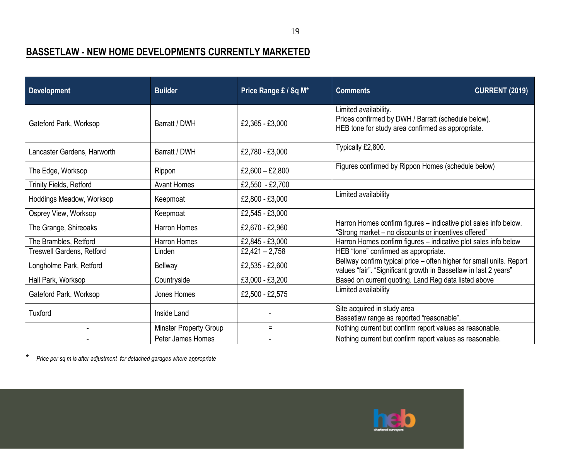# **BASSETLAW - NEW HOME DEVELOPMENTS CURRENTLY MARKETED**

| <b>Development</b>          | <b>Builder</b>         | Price Range £ / Sq M* | <b>CURRENT (2019)</b><br><b>Comments</b>                                                                                                 |
|-----------------------------|------------------------|-----------------------|------------------------------------------------------------------------------------------------------------------------------------------|
| Gateford Park, Worksop      | Barratt / DWH          | £2,365 - £3,000       | Limited availability.<br>Prices confirmed by DWH / Barratt (schedule below).<br>HEB tone for study area confirmed as appropriate.        |
| Lancaster Gardens, Harworth | Barratt / DWH          | £2,780 - £3,000       | Typically £2,800.                                                                                                                        |
| The Edge, Worksop           | Rippon                 | £2,600 $-$ £2,800     | Figures confirmed by Rippon Homes (schedule below)                                                                                       |
| Trinity Fields, Retford     | <b>Avant Homes</b>     | £2,550 - £2,700       |                                                                                                                                          |
| Hoddings Meadow, Worksop    | Keepmoat               | £2,800 - £3,000       | Limited availability                                                                                                                     |
| Osprey View, Worksop        | Keepmoat               | £2,545 - £3,000       |                                                                                                                                          |
| The Grange, Shireoaks       | <b>Harron Homes</b>    | £2,670 - £2,960       | Harron Homes confirm figures - indicative plot sales info below.<br>"Strong market - no discounts or incentives offered"                 |
| The Brambles, Retford       | Harron Homes           | £2,845 - £3,000       | Harron Homes confirm figures - indicative plot sales info below                                                                          |
| Treswell Gardens, Retford   | Linden                 | £2,421 - 2,758        | HEB "tone" confirmed as appropriate.                                                                                                     |
| Longholme Park, Retford     | <b>Bellway</b>         | £2,535 - £2,600       | Bellway confirm typical price - often higher for small units. Report<br>values "fair". "Significant growth in Bassetlaw in last 2 years" |
| Hall Park, Worksop          | Countryside            | £3,000 - £3,200       | Based on current quoting. Land Reg data listed above                                                                                     |
| Gateford Park, Worksop      | Jones Homes            | £2,500 - £2,575       | Limited availability                                                                                                                     |
| Tuxford                     | Inside Land            |                       | Site acquired in study area<br>Bassetlaw range as reported "reasonable".                                                                 |
|                             | Minster Property Group | $=$                   | Nothing current but confirm report values as reasonable.                                                                                 |
|                             | Peter James Homes      |                       | Nothing current but confirm report values as reasonable.                                                                                 |

**\*** *Price per sq m is after adjustment for detached garages where appropriate*

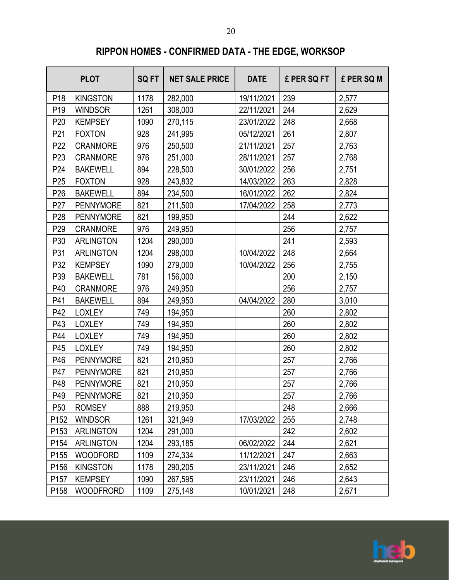# **RIPPON HOMES - CONFIRMED DATA - THE EDGE, WORKSOP**

|                  | <b>PLOT</b>      | <b>SQFT</b> | <b>NET SALE PRICE</b> | <b>DATE</b> | £ PER SQ FT | £ PER SQ M |
|------------------|------------------|-------------|-----------------------|-------------|-------------|------------|
| P <sub>18</sub>  | <b>KINGSTON</b>  | 1178        | 282,000               | 19/11/2021  | 239         | 2,577      |
| P <sub>19</sub>  | <b>WINDSOR</b>   | 1261        | 308,000               | 22/11/2021  | 244         | 2,629      |
| P <sub>20</sub>  | <b>KEMPSEY</b>   | 1090        | 270,115               | 23/01/2022  | 248         | 2,668      |
| P21              | <b>FOXTON</b>    | 928         | 241,995               | 05/12/2021  | 261         | 2,807      |
| P <sub>22</sub>  | <b>CRANMORE</b>  | 976         | 250,500               | 21/11/2021  | 257         | 2,763      |
| P <sub>23</sub>  | <b>CRANMORE</b>  | 976         | 251,000               | 28/11/2021  | 257         | 2,768      |
| P24              | <b>BAKEWELL</b>  | 894         | 228,500               | 30/01/2022  | 256         | 2,751      |
| P <sub>25</sub>  | <b>FOXTON</b>    | 928         | 243,832               | 14/03/2022  | 263         | 2,828      |
| P <sub>26</sub>  | <b>BAKEWELL</b>  | 894         | 234,500               | 16/01/2022  | 262         | 2,824      |
| P <sub>27</sub>  | <b>PENNYMORE</b> | 821         | 211,500               | 17/04/2022  | 258         | 2,773      |
| P <sub>28</sub>  | <b>PENNYMORE</b> | 821         | 199,950               |             | 244         | 2,622      |
| P <sub>29</sub>  | <b>CRANMORE</b>  | 976         | 249,950               |             | 256         | 2,757      |
| P30              | <b>ARLINGTON</b> | 1204        | 290,000               |             | 241         | 2,593      |
| P31              | <b>ARLINGTON</b> | 1204        | 298,000               | 10/04/2022  | 248         | 2,664      |
| P32              | <b>KEMPSEY</b>   | 1090        | 279,000               | 10/04/2022  | 256         | 2,755      |
| P39              | <b>BAKEWELL</b>  | 781         | 156,000               |             | 200         | 2,150      |
| P40              | <b>CRANMORE</b>  | 976         | 249,950               |             | 256         | 2,757      |
| P41              | <b>BAKEWELL</b>  | 894         | 249,950               | 04/04/2022  | 280         | 3,010      |
| P42              | <b>LOXLEY</b>    | 749         | 194,950               |             | 260         | 2,802      |
| P43              | <b>LOXLEY</b>    | 749         | 194,950               |             | 260         | 2,802      |
| P44              | <b>LOXLEY</b>    | 749         | 194,950               |             | 260         | 2,802      |
| P45              | <b>LOXLEY</b>    | 749         | 194,950               |             | 260         | 2,802      |
| P46              | <b>PENNYMORE</b> | 821         | 210,950               |             | 257         | 2,766      |
| P47              | <b>PENNYMORE</b> | 821         | 210,950               |             | 257         | 2,766      |
| P48              | <b>PENNYMORE</b> | 821         | 210,950               |             | 257         | 2,766      |
| P49              | <b>PENNYMORE</b> | 821         | 210,950               |             | 257         | 2,766      |
| P <sub>50</sub>  | <b>ROMSEY</b>    | 888         | 219,950               |             | 248         | 2,666      |
| P <sub>152</sub> | <b>WINDSOR</b>   | 1261        | 321,949               | 17/03/2022  | 255         | 2,748      |
| P <sub>153</sub> | <b>ARLINGTON</b> | 1204        | 291,000               |             | 242         | 2,602      |
| P154             | <b>ARLINGTON</b> | 1204        | 293,185               | 06/02/2022  | 244         | 2,621      |
| P <sub>155</sub> | <b>WOODFORD</b>  | 1109        | 274,334               | 11/12/2021  | 247         | 2,663      |
| P156             | <b>KINGSTON</b>  | 1178        | 290,205               | 23/11/2021  | 246         | 2,652      |
| P <sub>157</sub> | <b>KEMPSEY</b>   | 1090        | 267,595               | 23/11/2021  | 246         | 2,643      |
| P158             | <b>WOODFRORD</b> | 1109        | 275,148               | 10/01/2021  | 248         | 2,671      |

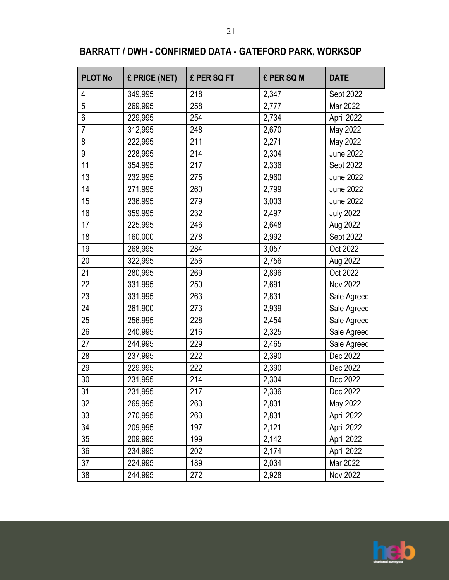# **BARRATT / DWH - CONFIRMED DATA - GATEFORD PARK, WORKSOP**

| <b>PLOT No</b> | £ PRICE (NET) | £ PER SQ FT | £ PER SQ M | <b>DATE</b>      |
|----------------|---------------|-------------|------------|------------------|
| 4              | 349,995       | 218         | 2,347      | Sept 2022        |
| $\overline{5}$ | 269,995       | 258         | 2,777      | Mar 2022         |
| $6\phantom{a}$ | 229,995       | 254         | 2,734      | April 2022       |
| $\overline{7}$ | 312,995       | 248         | 2,670      | May 2022         |
| 8              | 222,995       | 211         | 2,271      | May 2022         |
| 9              | 228,995       | 214         | 2,304      | <b>June 2022</b> |
| 11             | 354,995       | 217         | 2,336      | Sept 2022        |
| 13             | 232,995       | 275         | 2,960      | <b>June 2022</b> |
| 14             | 271,995       | 260         | 2,799      | <b>June 2022</b> |
| 15             | 236,995       | 279         | 3,003      | <b>June 2022</b> |
| 16             | 359,995       | 232         | 2,497      | <b>July 2022</b> |
| 17             | 225,995       | 246         | 2,648      | Aug 2022         |
| 18             | 160,000       | 278         | 2,992      | Sept 2022        |
| 19             | 268,995       | 284         | 3,057      | Oct 2022         |
| 20             | 322,995       | 256         | 2,756      | Aug 2022         |
| 21             | 280,995       | 269         | 2,896      | Oct 2022         |
| 22             | 331,995       | 250         | 2,691      | Nov 2022         |
| 23             | 331,995       | 263         | 2,831      | Sale Agreed      |
| 24             | 261,900       | 273         | 2,939      | Sale Agreed      |
| 25             | 256,995       | 228         | 2,454      | Sale Agreed      |
| 26             | 240,995       | 216         | 2,325      | Sale Agreed      |
| 27             | 244,995       | 229         | 2,465      | Sale Agreed      |
| 28             | 237,995       | 222         | 2,390      | Dec 2022         |
| 29             | 229,995       | 222         | 2,390      | Dec 2022         |
| 30             | 231,995       | 214         | 2,304      | Dec 2022         |
| 31             | 231,995       | 217         | 2,336      | Dec 2022         |
| 32             | 269,995       | 263         | 2,831      | May 2022         |
| 33             | 270,995       | 263         | 2,831      | April 2022       |
| 34             | 209,995       | 197         | 2,121      | April 2022       |
| 35             | 209,995       | 199         | 2,142      | April 2022       |
| 36             | 234,995       | 202         | 2,174      | April 2022       |
| 37             | 224,995       | 189         | 2,034      | Mar 2022         |
| 38             | 244,995       | 272         | 2,928      | Nov 2022         |

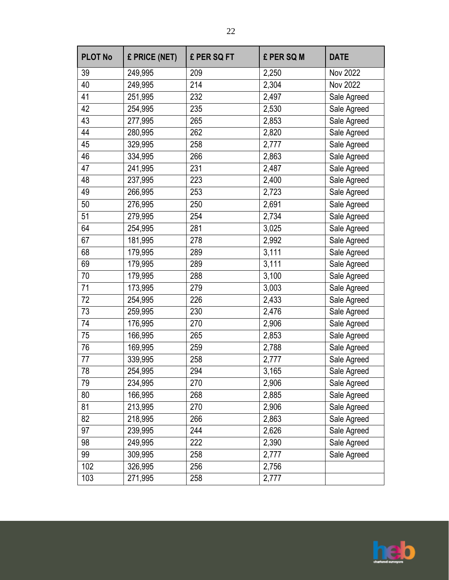| <b>PLOT No</b> | £ PRICE (NET) | £ PER SQ FT | £ PER SQ M | <b>DATE</b> |
|----------------|---------------|-------------|------------|-------------|
| 39             | 249,995       | 209         | 2,250      | Nov 2022    |
| 40             | 249,995       | 214         | 2,304      | Nov 2022    |
| 41             | 251,995       | 232         | 2,497      | Sale Agreed |
| 42             | 254,995       | 235         | 2,530      | Sale Agreed |
| 43             | 277,995       | 265         | 2,853      | Sale Agreed |
| 44             | 280,995       | 262         | 2,820      | Sale Agreed |
| 45             | 329,995       | 258         | 2,777      | Sale Agreed |
| 46             | 334,995       | 266         | 2,863      | Sale Agreed |
| 47             | 241,995       | 231         | 2,487      | Sale Agreed |
| 48             | 237,995       | 223         | 2,400      | Sale Agreed |
| 49             | 266,995       | 253         | 2,723      | Sale Agreed |
| 50             | 276,995       | 250         | 2,691      | Sale Agreed |
| 51             | 279,995       | 254         | 2,734      | Sale Agreed |
| 64             | 254,995       | 281         | 3,025      | Sale Agreed |
| 67             | 181,995       | 278         | 2,992      | Sale Agreed |
| 68             | 179,995       | 289         | 3,111      | Sale Agreed |
| 69             | 179,995       | 289         | 3,111      | Sale Agreed |
| 70             | 179,995       | 288         | 3,100      | Sale Agreed |
| 71             | 173,995       | 279         | 3,003      | Sale Agreed |
| 72             | 254,995       | 226         | 2,433      | Sale Agreed |
| 73             | 259,995       | 230         | 2,476      | Sale Agreed |
| 74             | 176,995       | 270         | 2,906      | Sale Agreed |
| 75             | 166,995       | 265         | 2,853      | Sale Agreed |
| 76             | 169,995       | 259         | 2,788      | Sale Agreed |
| 77             | 339,995       | 258         | 2,777      | Sale Agreed |
| 78             | 254,995       | 294         | 3,165      | Sale Agreed |
| 79             | 234,995       | 270         | 2,906      | Sale Agreed |
| 80             | 166,995       | 268         | 2,885      | Sale Agreed |
| 81             | 213,995       | 270         | 2,906      | Sale Agreed |
| 82             | 218,995       | 266         | 2,863      | Sale Agreed |
| 97             | 239,995       | 244         | 2,626      | Sale Agreed |
| 98             | 249,995       | 222         | 2,390      | Sale Agreed |
| 99             | 309,995       | 258         | 2,777      | Sale Agreed |
| 102            | 326,995       | 256         | 2,756      |             |
| 103            | 271,995       | 258         | 2,777      |             |